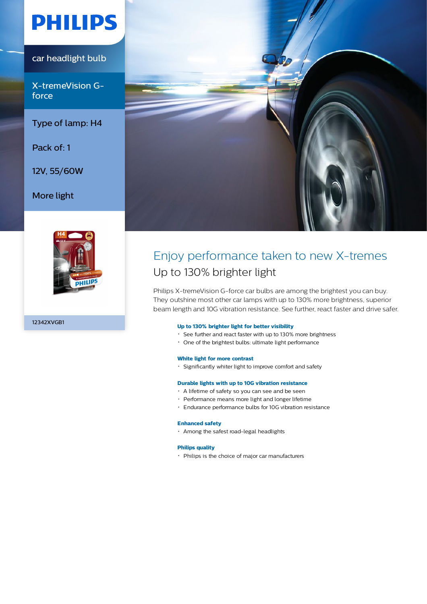# **PHILIPS**

## car headlight bulb

X-tremeVision Gforce

### Type of lamp: H4

Pack of: 1

12V, 55/60W

### More light



12342XVGB1



# Enjoy performance taken to new X-tremes Up to 130% brighter light

Philips X-tremeVision G-force car bulbs are among the brightest you can buy. They outshine most other car lamps with up to 130% more brightness, superior beam length and 10G vibration resistance. See further, react faster and drive safer.

### **Up to 130% brighter light for better visibility**

- See further and react faster with up to 130% more brightness
- One of the brightest bulbs: ultimate light performance

### **White light for more contrast**

Significantly whiter light to improve comfort and safety

### **Durable lights with up to 10G vibration resistance**

- A lifetime of safety so you can see and be seen
- Performance means more light and longer lifetime
- Endurance performance bulbs for 10G vibration resistance

#### **Enhanced safety**

Among the safest road-legal headlights

### **Philips quality**

Philips is the choice of major car manufacturers